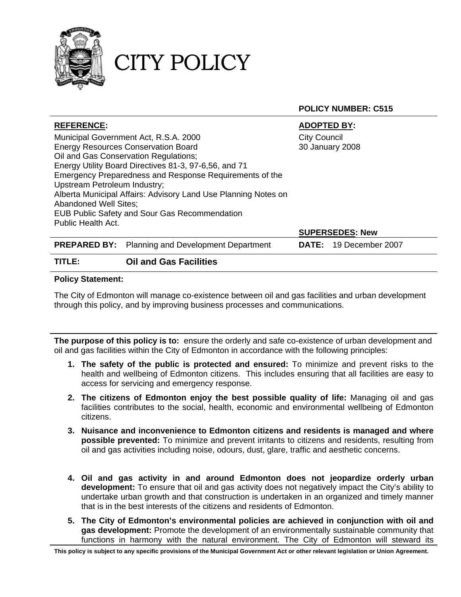

CITY POLICY

**POLICY NUMBER: C515** 

| <b>REFERENCE:</b>                                              |                                            | <b>ADOPTED BY:</b>  |                               |  |
|----------------------------------------------------------------|--------------------------------------------|---------------------|-------------------------------|--|
| Municipal Government Act, R.S.A. 2000                          |                                            | <b>City Council</b> |                               |  |
| <b>Energy Resources Conservation Board</b>                     |                                            | 30 January 2008     |                               |  |
| Oil and Gas Conservation Regulations;                          |                                            |                     |                               |  |
| Energy Utility Board Directives 81-3, 97-6,56, and 71          |                                            |                     |                               |  |
| Emergency Preparedness and Response Requirements of the        |                                            |                     |                               |  |
| Upstream Petroleum Industry;                                   |                                            |                     |                               |  |
| Alberta Municipal Affairs: Advisory Land Use Planning Notes on |                                            |                     |                               |  |
| Abandoned Well Sites;                                          |                                            |                     |                               |  |
| <b>EUB Public Safety and Sour Gas Recommendation</b>           |                                            |                     |                               |  |
| Public Health Act.                                             |                                            |                     |                               |  |
|                                                                |                                            |                     | <b>SUPERSEDES: New</b>        |  |
| <b>PREPARED BY:</b>                                            | <b>Planning and Development Department</b> |                     | <b>DATE:</b> 19 December 2007 |  |
| TITLE:                                                         | <b>Oil and Gas Facilities</b>              |                     |                               |  |

#### **Policy Statement:**

The City of Edmonton will manage co-existence between oil and gas facilities and urban development through this policy, and by improving business processes and communications.

**The purpose of this policy is to:** ensure the orderly and safe co-existence of urban development and oil and gas facilities within the City of Edmonton in accordance with the following principles:

- **1. The safety of the public is protected and ensured:** To minimize and prevent risks to the health and wellbeing of Edmonton citizens. This includes ensuring that all facilities are easy to access for servicing and emergency response.
- **2. The citizens of Edmonton enjoy the best possible quality of life:** Managing oil and gas facilities contributes to the social, health, economic and environmental wellbeing of Edmonton citizens.
- **3. Nuisance and inconvenience to Edmonton citizens and residents is managed and where possible prevented:** To minimize and prevent irritants to citizens and residents, resulting from oil and gas activities including noise, odours, dust, glare, traffic and aesthetic concerns.
- **4. Oil and gas activity in and around Edmonton does not jeopardize orderly urban development:** To ensure that oil and gas activity does not negatively impact the City's ability to undertake urban growth and that construction is undertaken in an organized and timely manner that is in the best interests of the citizens and residents of Edmonton.
- **5. The City of Edmonton's environmental policies are achieved in conjunction with oil and gas development:** Promote the development of an environmentally sustainable community that functions in harmony with the natural environment. The City of Edmonton will steward its

**This policy is subject to any specific provisions of the Municipal Government Act or other relevant legislation or Union Agreement.**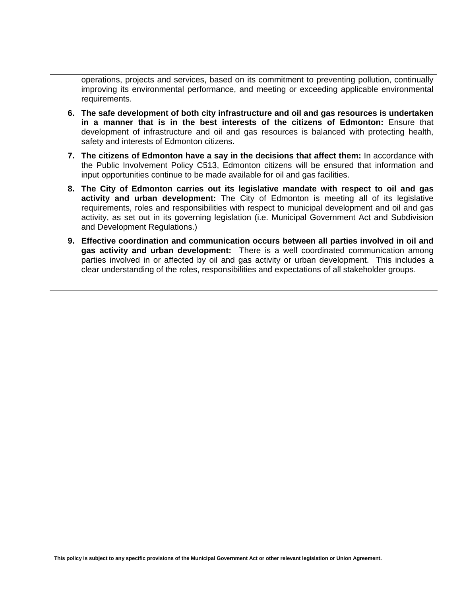operations, projects and services, based on its commitment to preventing pollution, continually improving its environmental performance, and meeting or exceeding applicable environmental requirements.

- **6. The safe development of both city infrastructure and oil and gas resources is undertaken in a manner that is in the best interests of the citizens of Edmonton:** Ensure that development of infrastructure and oil and gas resources is balanced with protecting health, safety and interests of Edmonton citizens.
- **7. The citizens of Edmonton have a say in the decisions that affect them:** In accordance with the Public Involvement Policy C513, Edmonton citizens will be ensured that information and input opportunities continue to be made available for oil and gas facilities.
- **8. The City of Edmonton carries out its legislative mandate with respect to oil and gas activity and urban development:** The City of Edmonton is meeting all of its legislative requirements, roles and responsibilities with respect to municipal development and oil and gas activity, as set out in its governing legislation (i.e. Municipal Government Act and Subdivision and Development Regulations.)
- **9. Effective coordination and communication occurs between all parties involved in oil and gas activity and urban development:** There is a well coordinated communication among parties involved in or affected by oil and gas activity or urban development. This includes a clear understanding of the roles, responsibilities and expectations of all stakeholder groups.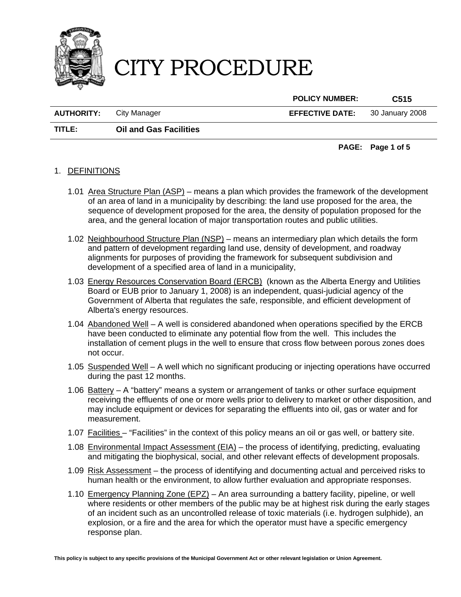

**POLICY NUMBER: C515** 

**AUTHORITY:** City Manager **EFFECTIVE DATE:** 30 January 2008

**TITLE: Oil and Gas Facilities** 

#### **PAGE: Page 1 of 5**

### 1. DEFINITIONS

- 1.01 Area Structure Plan (ASP) means a plan which provides the framework of the development of an area of land in a municipality by describing: the land use proposed for the area, the sequence of development proposed for the area, the density of population proposed for the area, and the general location of major transportation routes and public utilities.
- 1.02 Neighbourhood Structure Plan (NSP) means an intermediary plan which details the form and pattern of development regarding land use, density of development, and roadway alignments for purposes of providing the framework for subsequent subdivision and development of a specified area of land in a municipality,
- 1.03 Energy Resources Conservation Board (ERCB) (known as the Alberta Energy and Utilities Board or EUB prior to January 1, 2008) is an independent, quasi-judicial agency of the Government of Alberta that regulates the safe, responsible, and efficient development of Alberta's energy resources.
- 1.04 Abandoned Well A well is considered abandoned when operations specified by the ERCB have been conducted to eliminate any potential flow from the well. This includes the installation of cement plugs in the well to ensure that cross flow between porous zones does not occur.
- 1.05 Suspended Well A well which no significant producing or injecting operations have occurred during the past 12 months.
- 1.06 Battery A "battery" means a system or arrangement of tanks or other surface equipment receiving the effluents of one or more wells prior to delivery to market or other disposition, and may include equipment or devices for separating the effluents into oil, gas or water and for measurement.
- 1.07 Facilities "Facilities" in the context of this policy means an oil or gas well, or battery site.
- 1.08 Environmental Impact Assessment (EIA) the process of identifying, predicting, evaluating and mitigating the biophysical, social, and other relevant effects of development proposals.
- 1.09 Risk Assessment the process of identifying and documenting actual and perceived risks to human health or the environment, to allow further evaluation and appropriate responses.
- 1.10 Emergency Planning Zone (EPZ) An area surrounding a battery facility, pipeline, or well where residents or other members of the public may be at highest risk during the early stages of an incident such as an uncontrolled release of toxic materials (i.e. hydrogen sulphide), an explosion, or a fire and the area for which the operator must have a specific emergency response plan.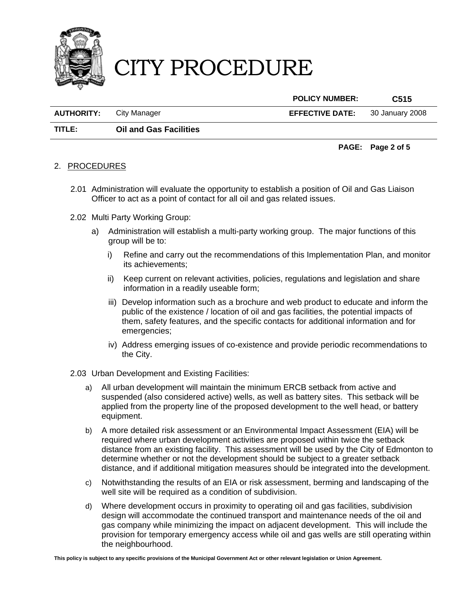

**POLICY NUMBER: C515** 

**AUTHORITY:** City Manager **EFFECTIVE DATE:** 30 January 2008

**TITLE: Oil and Gas Facilities** 

#### **PAGE: Page 2 of 5**

### 2. PROCEDURES

- 2.01 Administration will evaluate the opportunity to establish a position of Oil and Gas Liaison Officer to act as a point of contact for all oil and gas related issues.
- 2.02 Multi Party Working Group:
	- a) Administration will establish a multi-party working group. The major functions of this group will be to:
		- i) Refine and carry out the recommendations of this Implementation Plan, and monitor its achievements;
		- ii) Keep current on relevant activities, policies, regulations and legislation and share information in a readily useable form;
		- iii) Develop information such as a brochure and web product to educate and inform the public of the existence / location of oil and gas facilities, the potential impacts of them, safety features, and the specific contacts for additional information and for emergencies;
		- iv) Address emerging issues of co-existence and provide periodic recommendations to the City.
- 2.03 Urban Development and Existing Facilities:
	- a) All urban development will maintain the minimum ERCB setback from active and suspended (also considered active) wells, as well as battery sites. This setback will be applied from the property line of the proposed development to the well head, or battery equipment.
	- b) A more detailed risk assessment or an Environmental Impact Assessment (EIA) will be required where urban development activities are proposed within twice the setback distance from an existing facility. This assessment will be used by the City of Edmonton to determine whether or not the development should be subject to a greater setback distance, and if additional mitigation measures should be integrated into the development.
	- c) Notwithstanding the results of an EIA or risk assessment, berming and landscaping of the well site will be required as a condition of subdivision.
	- d) Where development occurs in proximity to operating oil and gas facilities, subdivision design will accommodate the continued transport and maintenance needs of the oil and gas company while minimizing the impact on adjacent development. This will include the provision for temporary emergency access while oil and gas wells are still operating within the neighbourhood.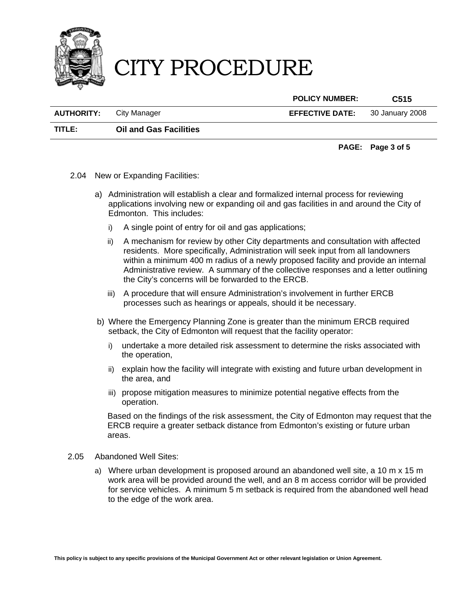

**POLICY NUMBER: C515** 

| <b>AUTHORITY:</b> City Manager | <b>EFFECTIVE DATE:</b> 30 January 2008 |  |
|--------------------------------|----------------------------------------|--|
|                                |                                        |  |

**TITLE: Oil and Gas Facilities** 

### **PAGE: Page 3 of 5**

- 2.04 New or Expanding Facilities:
	- a) Administration will establish a clear and formalized internal process for reviewing applications involving new or expanding oil and gas facilities in and around the City of Edmonton. This includes:
		- i) A single point of entry for oil and gas applications;
		- ii) A mechanism for review by other City departments and consultation with affected residents. More specifically, Administration will seek input from all landowners within a minimum 400 m radius of a newly proposed facility and provide an internal Administrative review. A summary of the collective responses and a letter outlining the City's concerns will be forwarded to the ERCB.
		- iii) A procedure that will ensure Administration's involvement in further ERCB processes such as hearings or appeals, should it be necessary.
	- b) Where the Emergency Planning Zone is greater than the minimum ERCB required setback, the City of Edmonton will request that the facility operator:
		- i) undertake a more detailed risk assessment to determine the risks associated with the operation,
		- ii) explain how the facility will integrate with existing and future urban development in the area, and
		- iii) propose mitigation measures to minimize potential negative effects from the operation.

Based on the findings of the risk assessment, the City of Edmonton may request that the ERCB require a greater setback distance from Edmonton's existing or future urban areas.

- 2.05 Abandoned Well Sites:
	- a) Where urban development is proposed around an abandoned well site, a 10 m x 15 m work area will be provided around the well, and an 8 m access corridor will be provided for service vehicles. A minimum 5 m setback is required from the abandoned well head to the edge of the work area.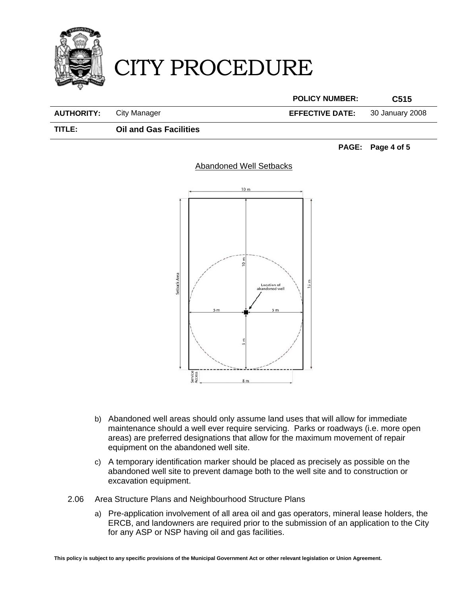

**POLICY NUMBER: C515** 

**AUTHORITY:** City Manager **EFFECTIVE DATE:** 30 January 2008

**TITLE: Oil and Gas Facilities** 

**PAGE: Page 4 of 5** 



### Abandoned Well Setbacks

- b) Abandoned well areas should only assume land uses that will allow for immediate maintenance should a well ever require servicing. Parks or roadways (i.e. more open areas) are preferred designations that allow for the maximum movement of repair equipment on the abandoned well site.
- c) A temporary identification marker should be placed as precisely as possible on the abandoned well site to prevent damage both to the well site and to construction or excavation equipment.
- 2.06 Area Structure Plans and Neighbourhood Structure Plans
	- a) Pre-application involvement of all area oil and gas operators, mineral lease holders, the ERCB, and landowners are required prior to the submission of an application to the City for any ASP or NSP having oil and gas facilities.